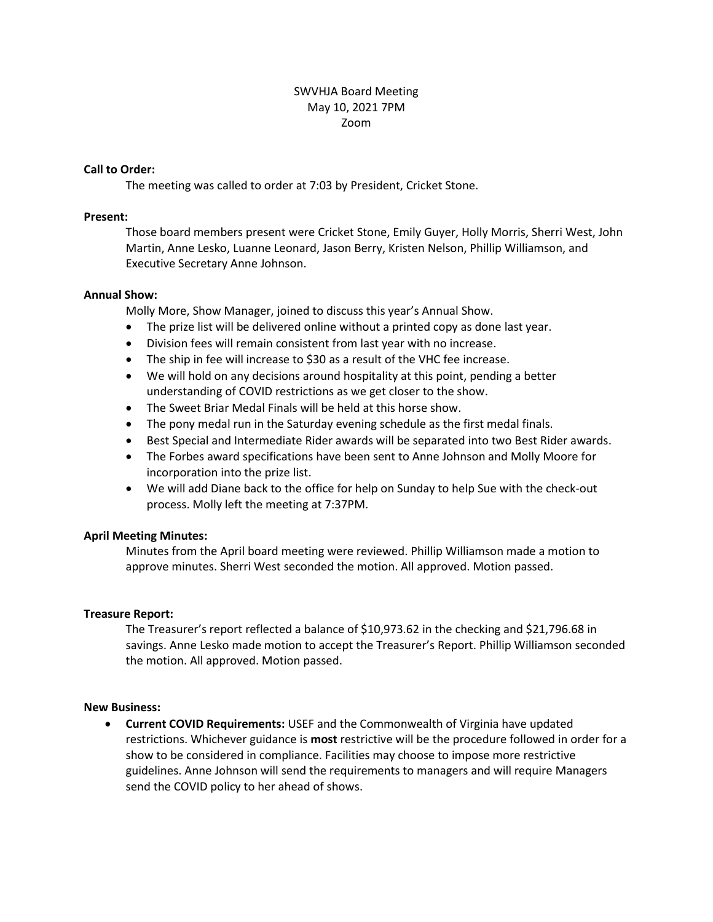# SWVHJA Board Meeting May 10, 2021 7PM Zoom

#### **Call to Order:**

The meeting was called to order at 7:03 by President, Cricket Stone.

#### **Present:**

Those board members present were Cricket Stone, Emily Guyer, Holly Morris, Sherri West, John Martin, Anne Lesko, Luanne Leonard, Jason Berry, Kristen Nelson, Phillip Williamson, and Executive Secretary Anne Johnson.

#### **Annual Show:**

Molly More, Show Manager, joined to discuss this year's Annual Show.

- The prize list will be delivered online without a printed copy as done last year.
- Division fees will remain consistent from last year with no increase.
- The ship in fee will increase to \$30 as a result of the VHC fee increase.
- We will hold on any decisions around hospitality at this point, pending a better understanding of COVID restrictions as we get closer to the show.
- The Sweet Briar Medal Finals will be held at this horse show.
- The pony medal run in the Saturday evening schedule as the first medal finals.
- Best Special and Intermediate Rider awards will be separated into two Best Rider awards.
- The Forbes award specifications have been sent to Anne Johnson and Molly Moore for incorporation into the prize list.
- We will add Diane back to the office for help on Sunday to help Sue with the check-out process. Molly left the meeting at 7:37PM.

# **April Meeting Minutes:**

Minutes from the April board meeting were reviewed. Phillip Williamson made a motion to approve minutes. Sherri West seconded the motion. All approved. Motion passed.

# **Treasure Report:**

The Treasurer's report reflected a balance of \$10,973.62 in the checking and \$21,796.68 in savings. Anne Lesko made motion to accept the Treasurer's Report. Phillip Williamson seconded the motion. All approved. Motion passed.

#### **New Business:**

 **Current COVID Requirements:** USEF and the Commonwealth of Virginia have updated restrictions. Whichever guidance is **most** restrictive will be the procedure followed in order for a show to be considered in compliance. Facilities may choose to impose more restrictive guidelines. Anne Johnson will send the requirements to managers and will require Managers send the COVID policy to her ahead of shows.